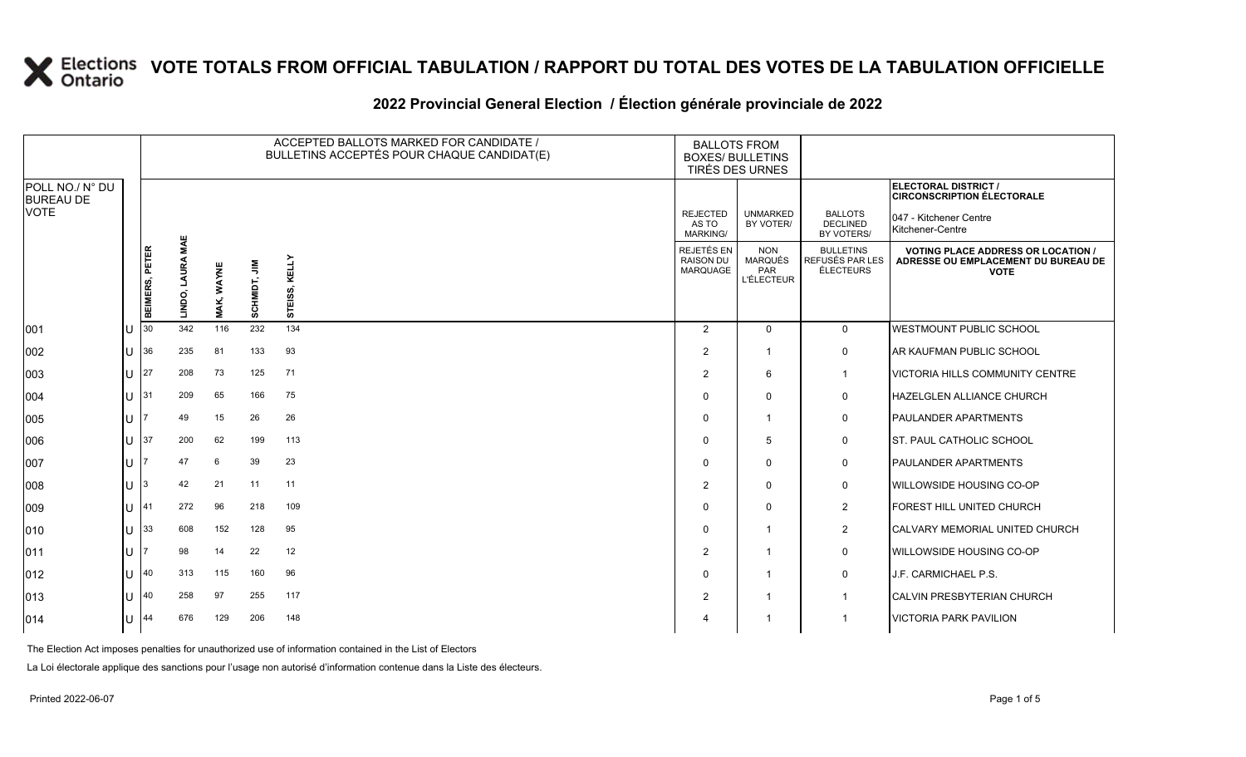#### **2022 Provincial General Election / Élection générale provinciale de 2022**

|                                     |     |                |                            |                   |              | ACCEPTED BALLOTS MARKED FOR CANDIDATE /<br>BULLETINS ACCEPTÉS POUR CHAQUE CANDIDAT(E) | <b>BALLOTS FROM</b><br><b>BOXES/ BULLETINS</b><br>TIRÉS DES URNES |                                                          |                                                  |                                                                                                 |
|-------------------------------------|-----|----------------|----------------------------|-------------------|--------------|---------------------------------------------------------------------------------------|-------------------------------------------------------------------|----------------------------------------------------------|--------------------------------------------------|-------------------------------------------------------------------------------------------------|
| POLL NO./ N° DU<br><b>BUREAU DE</b> |     |                |                            |                   |              |                                                                                       |                                                                   |                                                          |                                                  | ELECTORAL DISTRICT /<br><b>CIRCONSCRIPTION ÉLECTORALE</b>                                       |
| <b>VOTE</b>                         |     |                |                            |                   |              |                                                                                       | <b>REJECTED</b><br>AS TO<br>MARKING/                              | <b>UNMARKED</b><br>BY VOTER/                             | <b>BALLOTS</b><br><b>DECLINED</b><br>BY VOTERS/  | 047 - Kitchener Centre<br>Kitchener-Centre                                                      |
|                                     |     | BEIMERS, PETER | <b>LAURA MAE</b><br>LINDO, | <b>MAK, WAYNE</b> | SCHMIDT, JIM | KELLY<br>ທົ<br>Ö)<br>ш<br>5                                                           | REJETÉS EN<br>RAISON DU<br><b>MARQUAGE</b>                        | <b>NON</b><br><b>MARQUÉS</b><br>PAR<br><b>L'ÉLECTEUR</b> | <b>BULLETINS</b><br>REFUSÉS PAR LES<br>ÉLECTEURS | <b>VOTING PLACE ADDRESS OR LOCATION /</b><br>ADRESSE OU EMPLACEMENT DU BUREAU DE<br><b>VOTE</b> |
| 001                                 | ПJ  | 30             | 342                        | 116               | 232          | 134                                                                                   | $\overline{2}$                                                    | $\mathbf 0$                                              | $\mathbf{0}$                                     | <b>IWESTMOUNT PUBLIC SCHOOL</b>                                                                 |
| 002                                 | lU. | 36             | 235                        | 81                | 133          | 93                                                                                    | 2                                                                 | -1                                                       | $\mathbf 0$                                      | AR KAUFMAN PUBLIC SCHOOL                                                                        |
| 003                                 | U   | 27             | 208                        | 73                | 125          | 71                                                                                    | 2                                                                 | 6                                                        | $\mathbf{1}$                                     | <b>VICTORIA HILLS COMMUNITY CENTRE</b>                                                          |
| 004                                 | U   | 31             | 209                        | 65                | 166          | 75                                                                                    | $\Omega$                                                          | $\mathbf 0$                                              | $\mathbf 0$                                      | <b>HAZELGLEN ALLIANCE CHURCH</b>                                                                |
| 005                                 | ΙU  |                | 49                         | 15                | 26           | 26                                                                                    | $\Omega$                                                          | $\overline{\mathbf{1}}$                                  | 0                                                | <b>PAULANDER APARTMENTS</b>                                                                     |
| 006                                 | ЦJ  | 37             | 200                        | 62                | 199          | 113                                                                                   | $\Omega$                                                          | 5                                                        | 0                                                | <b>ST. PAUL CATHOLIC SCHOOL</b>                                                                 |
| 007                                 | ПJ  |                | 47                         | 6                 | 39           | 23                                                                                    | $\Omega$                                                          | $\mathbf 0$                                              | $\mathbf 0$                                      | <b>PAULANDER APARTMENTS</b>                                                                     |
| 008                                 | IU. | 3              | 42                         | 21                | 11           | 11                                                                                    | 2                                                                 | $\Omega$                                                 | 0                                                | <b>WILLOWSIDE HOUSING CO-OP</b>                                                                 |
| 009                                 | U   | 41             | 272                        | 96                | 218          | 109                                                                                   | $\Omega$                                                          | $\mathbf 0$                                              | $\overline{2}$                                   | FOREST HILL UNITED CHURCH                                                                       |
| 010                                 | U   | 33             | 608                        | 152               | 128          | 95                                                                                    | $\Omega$                                                          | $\overline{1}$                                           | $\overline{2}$                                   | <b>CALVARY MEMORIAL UNITED CHURCH</b>                                                           |
| 011                                 | IU. |                | 98                         | 14                | 22           | 12                                                                                    | $\overline{2}$                                                    | -1                                                       | 0                                                | <b>WILLOWSIDE HOUSING CO-OP</b>                                                                 |
| 012                                 | ПJ  | 40             | 313                        | 115               | 160          | 96                                                                                    | $\Omega$                                                          | $\overline{\mathbf{1}}$                                  | 0                                                | J.F. CARMICHAEL P.S.                                                                            |
| 013                                 | ПJ  | 40             | 258                        | 97                | 255          | 117                                                                                   | $\overline{2}$                                                    | $\overline{\mathbf{1}}$                                  |                                                  | <b>CALVIN PRESBYTERIAN CHURCH</b>                                                               |
| 014                                 | IU. | 44             | 676                        | 129               | 206          | 148                                                                                   | 4                                                                 |                                                          |                                                  | <b>VICTORIA PARK PAVILION</b>                                                                   |

The Election Act imposes penalties for unauthorized use of information contained in the List of Electors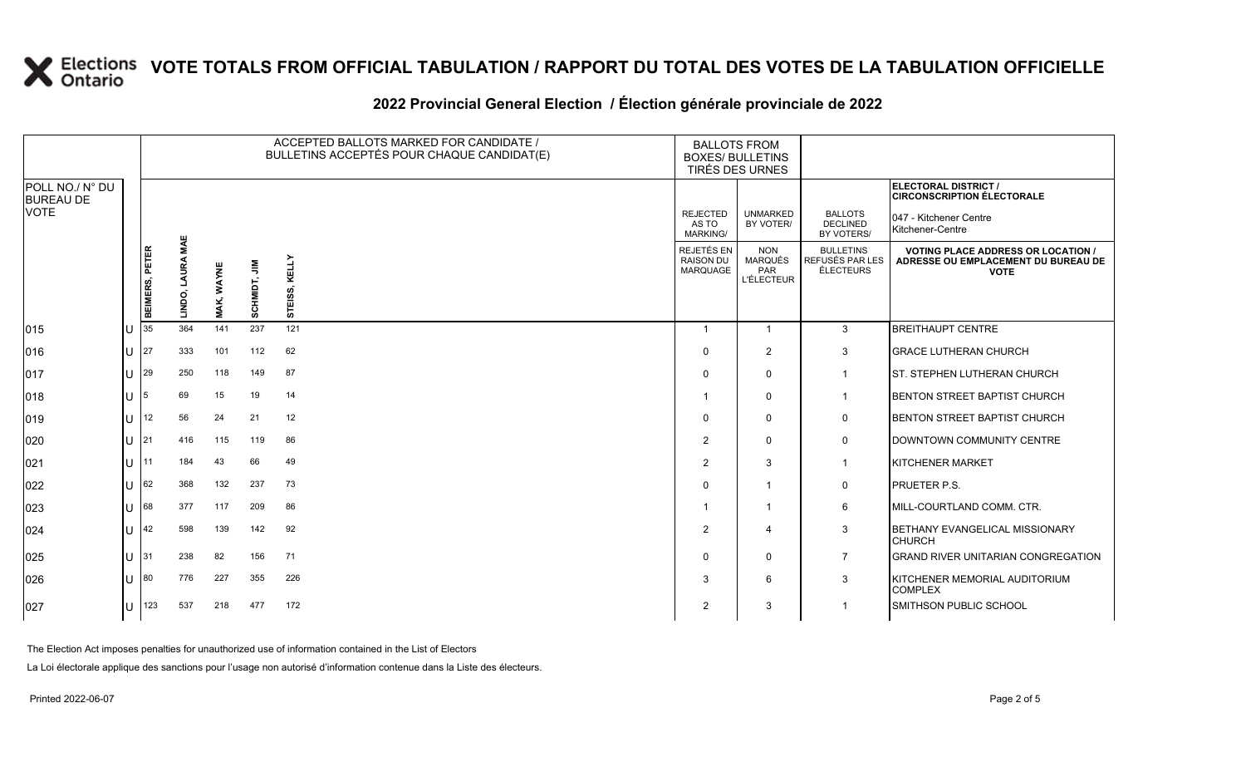### **2022 Provincial General Election / Élection générale provinciale de 2022**

|                                     |    |                |                        |            |              | ACCEPTED BALLOTS MARKED FOR CANDIDATE /<br>BULLETINS ACCEPTÉS POUR CHAQUE CANDIDAT(E) | <b>BALLOTS FROM</b><br><b>BOXES/ BULLETINS</b><br>TIRÉS DES URNES |                                                          |                                                         |                                                                                                 |  |
|-------------------------------------|----|----------------|------------------------|------------|--------------|---------------------------------------------------------------------------------------|-------------------------------------------------------------------|----------------------------------------------------------|---------------------------------------------------------|-------------------------------------------------------------------------------------------------|--|
| POLL NO./ N° DU<br><b>BUREAU DE</b> |    |                |                        |            |              |                                                                                       |                                                                   |                                                          |                                                         | ELECTORAL DISTRICT /<br><b>CIRCONSCRIPTION ÉLECTORALE</b>                                       |  |
| <b>VOTE</b>                         |    |                |                        |            |              |                                                                                       | <b>REJECTED</b><br>AS TO<br>MARKING/                              | <b>UNMARKED</b><br>BY VOTER/                             | <b>BALLOTS</b><br><b>DECLINED</b><br>BY VOTERS/         | 047 - Kitchener Centre<br>Kitchener-Centre                                                      |  |
|                                     |    | BEIMERS, PETER | MAE<br>LAURA<br>LINDO, | MAK, WAYNE | SCHMIDT, JIM | S, KELLY<br>Ö)<br>STEI                                                                | REJETÉS EN<br><b>RAISON DU</b><br>MARQUAGE                        | <b>NON</b><br><b>MARQUÉS</b><br>PAR<br><b>L'ÉLECTEUR</b> | <b>BULLETINS</b><br>REFUSÉS PAR LES<br><b>ÉLECTEURS</b> | <b>VOTING PLACE ADDRESS OR LOCATION /</b><br>ADRESSE OU EMPLACEMENT DU BUREAU DE<br><b>VOTE</b> |  |
| $ 015\rangle$                       | lU | 35             | 364                    | 141        | 237          | 121                                                                                   | $\mathbf 1$                                                       | $\overline{1}$                                           | $\mathbf{3}$                                            | <b>BREITHAUPT CENTRE</b>                                                                        |  |
| 016                                 | lu | 27             | 333                    | 101        | 112          | 62                                                                                    | $\Omega$                                                          | $\overline{2}$                                           | $\mathbf{3}$                                            | <b>GRACE LUTHERAN CHURCH</b>                                                                    |  |
| $ 017\rangle$                       | lu | 29             | 250                    | 118        | 149          | 87                                                                                    | $\mathbf{0}$                                                      | $\mathbf 0$                                              |                                                         | <b>IST. STEPHEN LUTHERAN CHURCH</b>                                                             |  |
| 018                                 | lu | 5              | 69                     | 15         | 19           | 14                                                                                    |                                                                   | $\Omega$                                                 | $\mathbf 1$                                             | <b>BENTON STREET BAPTIST CHURCH</b>                                                             |  |
| $ 019\rangle$                       | lu | 12             | 56                     | 24         | 21           | 12                                                                                    | $\Omega$                                                          | $\Omega$                                                 | $\mathbf 0$                                             | <b>BENTON STREET BAPTIST CHURCH</b>                                                             |  |
| 020                                 | lu | 21             | 416                    | 115        | 119          | 86                                                                                    | 2                                                                 | $\mathbf 0$                                              | $\mathbf 0$                                             | DOWNTOWN COMMUNITY CENTRE                                                                       |  |
| 021                                 | lu | 11             | 184                    | 43         | 66           | 49                                                                                    | $\overline{2}$                                                    | 3                                                        | $\overline{1}$                                          | <b>KITCHENER MARKET</b>                                                                         |  |
| 022                                 | lu | 62             | 368                    | 132        | 237          | 73                                                                                    | $\Omega$                                                          | $\overline{1}$                                           | 0                                                       | <b>PRUETER P.S.</b>                                                                             |  |
| 023                                 | IП | 68             | 377                    | 117        | 209          | 86                                                                                    |                                                                   | $\overline{1}$                                           | 6                                                       | <b>IMILL-COURTLAND COMM. CTR.</b>                                                               |  |
| 024                                 | lu | 42             | 598                    | 139        | 142          | 92                                                                                    | 2                                                                 | $\overline{4}$                                           | 3                                                       | BETHANY EVANGELICAL MISSIONARY<br><b>CHURCH</b>                                                 |  |
| 025                                 |    | $\vert$ U 31   | 238                    | 82         | 156          | 71                                                                                    | $\Omega$                                                          | $\mathbf 0$                                              | $\overline{7}$                                          | <b>GRAND RIVER UNITARIAN CONGREGATION</b>                                                       |  |
| 026                                 | ΙU | 80             | 776                    | 227        | 355          | 226                                                                                   | 3                                                                 | 6                                                        | 3                                                       | KITCHENER MEMORIAL AUDITORIUM<br><b>COMPLEX</b>                                                 |  |
| 027                                 | lU | 123            | 537                    | 218        | 477          | 172                                                                                   | $\overline{2}$                                                    | 3                                                        |                                                         | <b>SMITHSON PUBLIC SCHOOL</b>                                                                   |  |

The Election Act imposes penalties for unauthorized use of information contained in the List of Electors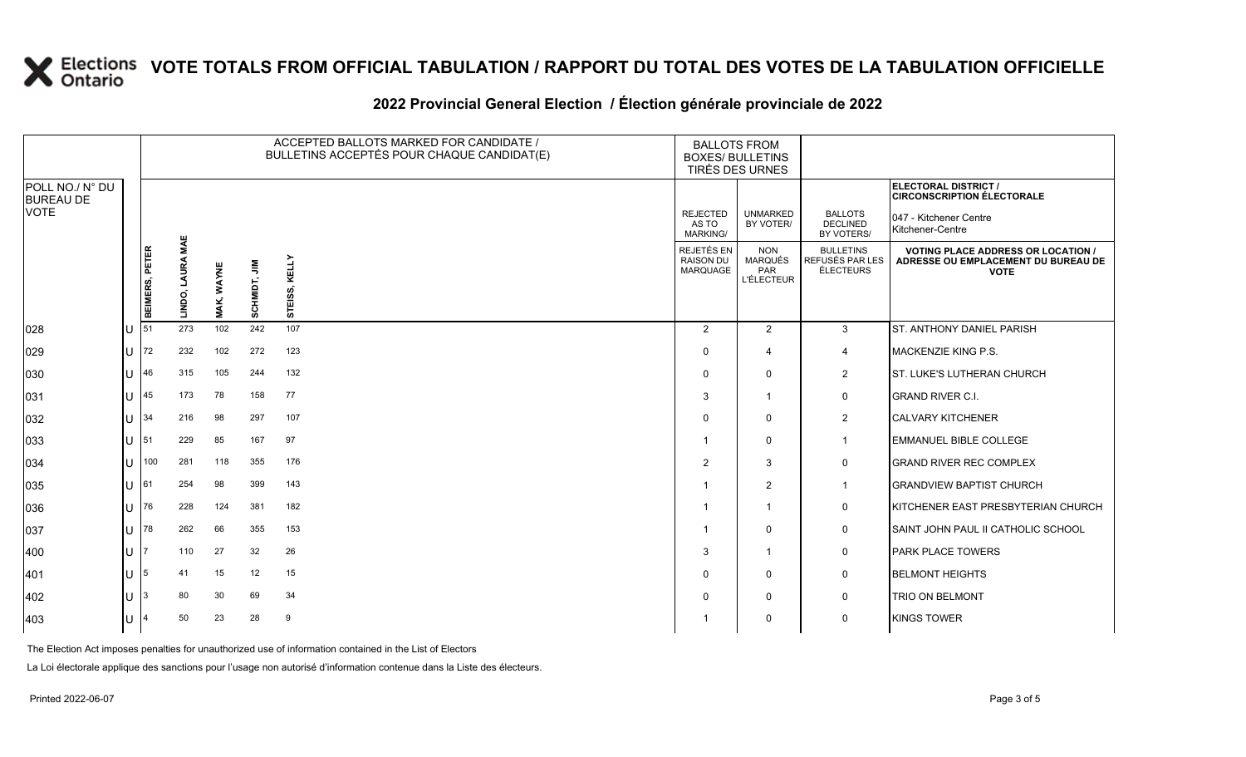### **2022 Provincial General Election / Élection générale provinciale de 2022**

|                                     |    |                |                     |                   |              | ACCEPTED BALLOTS MARKED FOR CANDIDATE /<br>BULLETINS ACCEPTÉS POUR CHAQUE CANDIDAT(E) | <b>BALLOTS FROM</b><br><b>BOXES/ BULLETINS</b><br>TIRÉS DES URNES |                                                          |                                                  |                                                                                                 |
|-------------------------------------|----|----------------|---------------------|-------------------|--------------|---------------------------------------------------------------------------------------|-------------------------------------------------------------------|----------------------------------------------------------|--------------------------------------------------|-------------------------------------------------------------------------------------------------|
| POLL NO./ N° DU<br><b>BUREAU DE</b> |    |                |                     |                   |              |                                                                                       |                                                                   |                                                          |                                                  | ELECTORAL DISTRICT /<br><b>CIRCONSCRIPTION ÉLECTORALE</b>                                       |
| <b>VOTE</b>                         |    |                |                     |                   |              |                                                                                       | <b>REJECTED</b><br>AS TO<br><b>MARKING/</b>                       | <b>UNMARKED</b><br>BY VOTER/                             | <b>BALLOTS</b><br><b>DECLINED</b><br>BY VOTERS/  | 047 - Kitchener Centre<br>Kitchener-Centre                                                      |
|                                     |    | BEIMERS, PETER | MAE<br>LINDO, LAURA | <b>MAK, WAYNE</b> | SCHMIDT, JIM | KELLY<br>SS,<br>STEI                                                                  | REJETÉS EN<br><b>RAISON DU</b><br><b>MARQUAGE</b>                 | <b>NON</b><br><b>MARQUÉS</b><br>PAR<br><b>L'ÉLECTEUR</b> | <b>BULLETINS</b><br>REFUSÉS PAR LES<br>ÉLECTEURS | <b>VOTING PLACE ADDRESS OR LOCATION /</b><br>ADRESSE OU EMPLACEMENT DU BUREAU DE<br><b>VOTE</b> |
| 028                                 |    | 51             | 273                 | 102               | 242          | 107                                                                                   | 2                                                                 | 2                                                        | 3                                                | <b>ST. ANTHONY DANIEL PARISH</b>                                                                |
| 029                                 | U  | 72             | 232                 | 102               | 272          | 123                                                                                   | $\Omega$                                                          | 4                                                        | 4                                                | MACKENZIE KING P.S.                                                                             |
| 030                                 |    | 46             | 315                 | 105               | 244          | 132                                                                                   | 0                                                                 | 0                                                        | $\overline{2}$                                   | ST. LUKE'S LUTHERAN CHURCH                                                                      |
| 031                                 |    | 45             | 173                 | 78                | 158          | 77                                                                                    | 3                                                                 | -1                                                       | $\mathbf 0$                                      | <b>GRAND RIVER C.I.</b>                                                                         |
| 032                                 |    | 34             | 216                 | 98                | 297          | 107                                                                                   | $\Omega$                                                          | $\Omega$                                                 | $\overline{2}$                                   | <b>CALVARY KITCHENER</b>                                                                        |
| 033                                 | ПT | 51             | 229                 | 85                | 167          | 97                                                                                    | -1                                                                | 0                                                        | $\mathbf{1}$                                     | <b>EMMANUEL BIBLE COLLEGE</b>                                                                   |
| 034                                 | U  | 100            | 281                 | 118               | 355          | 176                                                                                   | 2                                                                 | 3                                                        | $\mathbf 0$                                      | <b>GRAND RIVER REC COMPLEX</b>                                                                  |
| 035                                 | ПT | 61             | 254                 | 98                | 399          | 143                                                                                   |                                                                   | 2                                                        | 1                                                | <b>GRANDVIEW BAPTIST CHURCH</b>                                                                 |
| 036                                 |    | 76             | 228                 | 124               | 381          | 182                                                                                   | -1                                                                | -1                                                       | 0                                                | KITCHENER EAST PRESBYTERIAN CHURCH                                                              |
| 037                                 | U  | 78             | 262                 | 66                | 355          | 153                                                                                   |                                                                   | $\Omega$                                                 | $\mathbf 0$                                      | SAINT JOHN PAUL II CATHOLIC SCHOOL                                                              |
| 400                                 | U  |                | 110                 | 27                | 32           | 26                                                                                    | 3                                                                 | -1                                                       | 0                                                | <b>PARK PLACE TOWERS</b>                                                                        |
| 401                                 |    | 5              | 41                  | 15                | 12           | 15                                                                                    | $\Omega$                                                          | 0                                                        | 0                                                | <b>BELMONT HEIGHTS</b>                                                                          |
| 402                                 |    |                | 80                  | 30                | 69           | 34                                                                                    | $\Omega$                                                          | $\mathbf 0$                                              | $\mathbf 0$                                      | <b>TRIO ON BELMONT</b>                                                                          |
| 403                                 | ПJ |                | 50                  | 23                | 28           | 9                                                                                     |                                                                   | $\Omega$                                                 | $\mathbf 0$                                      | <b>KINGS TOWER</b>                                                                              |

The Election Act imposes penalties for unauthorized use of information contained in the List of Electors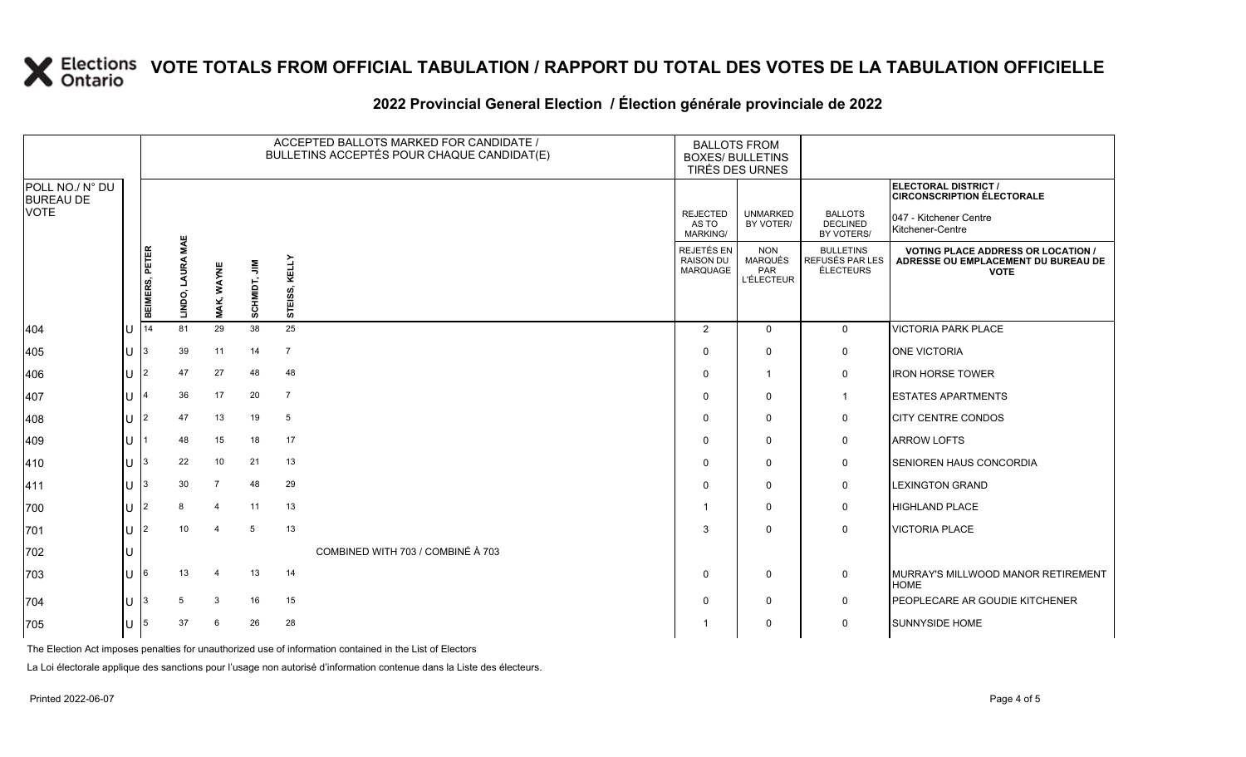### **2022 Provincial General Election / Élection générale provinciale de 2022**

|                                     |              |                |                               |                   |               |                | ACCEPTED BALLOTS MARKED FOR CANDIDATE /<br>BULLETINS ACCEPTÉS POUR CHAQUE CANDIDAT(E) | <b>BALLOTS FROM</b><br><b>BOXES/ BULLETINS</b><br>TIRÉS DES URNES |                                                          |                                                  |                                                                                                 |
|-------------------------------------|--------------|----------------|-------------------------------|-------------------|---------------|----------------|---------------------------------------------------------------------------------------|-------------------------------------------------------------------|----------------------------------------------------------|--------------------------------------------------|-------------------------------------------------------------------------------------------------|
| POLL NO./ N° DU<br><b>BUREAU DE</b> |              |                |                               |                   |               |                |                                                                                       |                                                                   |                                                          |                                                  | ELECTORAL DISTRICT /<br><b>CIRCONSCRIPTION ÉLECTORALE</b>                                       |
| VOTE                                |              |                |                               |                   |               |                |                                                                                       | <b>REJECTED</b><br>AS TO<br><b>MARKING/</b>                       | <b>UNMARKED</b><br>BY VOTER/                             | <b>BALLOTS</b><br>DECLINED<br>BY VOTERS/         | 047 - Kitchener Centre<br>Kitchener-Centre                                                      |
|                                     |              | BEIMERS, PETER | MAE<br><b>LAURA</b><br>LINDO, | <b>MAK, WAYNE</b> | ⋚<br>SCHMIDT, | STEISS, KELLY  |                                                                                       | REJETÉS EN<br><b>RAISON DU</b><br><b>MARQUAGE</b>                 | <b>NON</b><br><b>MARQUÉS</b><br>PAR<br><b>L'ÉLECTEUR</b> | <b>BULLETINS</b><br>REFUSÉS PAR LES<br>ÉLECTEURS | <b>VOTING PLACE ADDRESS OR LOCATION /</b><br>ADRESSE OU EMPLACEMENT DU BUREAU DE<br><b>VOTE</b> |
| 404                                 | lΗ           | 14             | 81                            | 29                | 38            | 25             |                                                                                       | $\overline{2}$                                                    | $\mathbf 0$                                              | $\mathbf 0$                                      | <b>VICTORIA PARK PLACE</b>                                                                      |
| 405                                 |              |                | 39                            | 11                | 14            | $\overline{7}$ |                                                                                       | $\Omega$                                                          | $\Omega$                                                 | 0                                                | <b>ONE VICTORIA</b>                                                                             |
| 406                                 |              | $\mathfrak{p}$ | 47                            | 27                | 48            | 48             |                                                                                       | $\Omega$                                                          | 1                                                        | 0                                                | <b>IRON HORSE TOWER</b>                                                                         |
| 407                                 | ΙU           |                | 36                            | 17                | 20            | $\overline{7}$ |                                                                                       | $\Omega$                                                          | $\mathbf 0$                                              | $\mathbf{1}$                                     | <b>ESTATES APARTMENTS</b>                                                                       |
| 408                                 | $\mathbf{L}$ |                | 47                            | 13                | 19            | 5              |                                                                                       | $\Omega$                                                          | $\Omega$                                                 | 0                                                | <b>CITY CENTRE CONDOS</b>                                                                       |
| 409                                 |              |                | 48                            | 15                | 18            | 17             |                                                                                       | $\Omega$                                                          | $\mathbf{0}$                                             | 0                                                | <b>ARROW LOFTS</b>                                                                              |
| 410                                 | $\mathbf{U}$ | IЗ             | 22                            | 10                | 21            | 13             |                                                                                       | $\Omega$                                                          | $\mathbf 0$                                              | 0                                                | <b>SENIOREN HAUS CONCORDIA</b>                                                                  |
| 411                                 |              |                | 30                            | $\overline{7}$    | 48            | 29             |                                                                                       | $\Omega$                                                          | 0                                                        | 0                                                | <b>LEXINGTON GRAND</b>                                                                          |
| 700                                 |              |                | 8                             | $\overline{4}$    | 11            | 13             |                                                                                       | -1                                                                | $\Omega$                                                 | $\mathbf 0$                                      | <b>HIGHLAND PLACE</b>                                                                           |
| 701                                 | lΗ           |                | 10                            | $\overline{4}$    | 5             | 13             |                                                                                       | 3                                                                 | $\mathbf{0}$                                             | $\mathbf 0$                                      | <b>VICTORIA PLACE</b>                                                                           |
| 702                                 |              |                |                               |                   |               |                | COMBINED WITH 703 / COMBINÉ À 703                                                     |                                                                   |                                                          |                                                  |                                                                                                 |
| 703                                 |              |                | 13                            |                   | 13            | 14             |                                                                                       | $\Omega$                                                          | $\Omega$                                                 | $\mathbf{0}$                                     | MURRAY'S MILLWOOD MANOR RETIREMENT<br><b>HOME</b>                                               |
| 704                                 |              |                | 5                             | 3                 | 16            | 15             |                                                                                       | $\Omega$                                                          | 0                                                        | 0                                                | <b>PEOPLECARE AR GOUDIE KITCHENER</b>                                                           |
| 705                                 |              | 5              | 37                            | -6                | 26            | 28             |                                                                                       |                                                                   | $\Omega$                                                 | 0                                                | <b>SUNNYSIDE HOME</b>                                                                           |

The Election Act imposes penalties for unauthorized use of information contained in the List of Electors